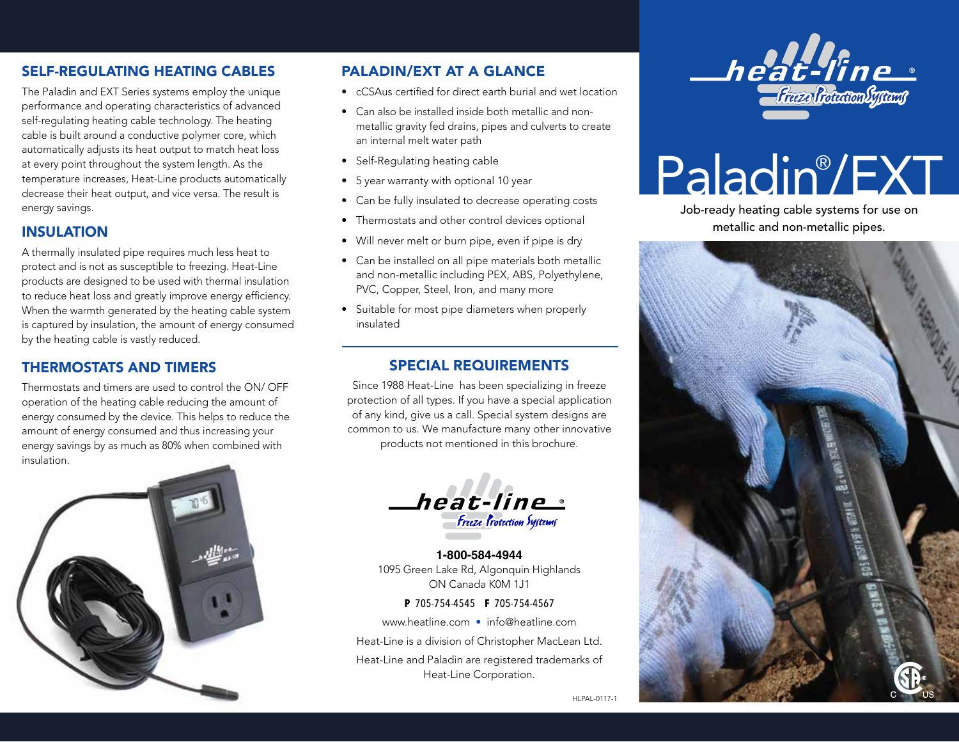## SELF-REGULATING HEATING CABLES

The Paladin and EXT Series systems employ the unique performance and operating characteristics of advanced self-regulating heating cable technology. The heating cable is built around a conductive polymer core, which automatically adjusts its heat output to match heat loss at every point throughout the system length. As the temperature increases, Heat-Line products automatically decrease their heat output, and vice versa. The result is energy savings.

# INSULATION

A thermally insulated pipe requires much less heat to protect and is not as susceptible to freezing. Heat-Line products are designed to be used with thermal insulation to reduce heat loss and greatly improve energy efficiency. When the warmth generated by the heating cable system is captured by insulation, the amount of energy consumed by the heating cable is vastly reduced.

## THERMOSTATS AND TIMERS

Thermostats and timers are used to control the ON/ OFF operation of the heating cable reducing the amount of energy consumed by the device. This helps to reduce the amount of energy consumed and thus increasing your energy savings by as much as 80% when combined with insulation.



## PALADIN/EXT AT A GLANCE

- cCSAus certified for direct earth burial and wet location
- Can also be installed inside both metallic and nonmetallic gravity fed drains, pipes and culverts to create an internal melt water path
- Self-Regulating heating cable
- 5 year warranty with optional 10 year
- Can be fully insulated to decrease operating costs
- Thermostats and other control devices optional
- Will never melt or burn pipe, even if pipe is dry
- Can be installed on all pipe materials both metallic and non-metallic including PEX, ABS, Polyethylene, PVC, Copper, Steel, Iron, and many more
- Suitable for most pipe diameters when properly insulated

#### SPECIAL REQUIREMENTS

Since 1988 Heat-Line has been specializing in freeze protection of all types. If you have a special application of any kind, give us a call. Special system designs are common to us. We manufacture many other innovative products not mentioned in this brochure.



**1-800-584-4944** 1095 Green Lake Rd, Algonquin Highlands ON Canada K0M 1J1

**P** 705-754-4545 **F** 705-754-4567

www.heatline.com • info@heatline.com

Heat-Line is a division of Christopher MacLean Ltd.

Heat-Line and Paladin are registered trademarks of Heat-Line Corporation.



# Paladin® /EXT

Job-ready heating cable systems for use on metallic and non-metallic pipes.



HLPAL-0117-1